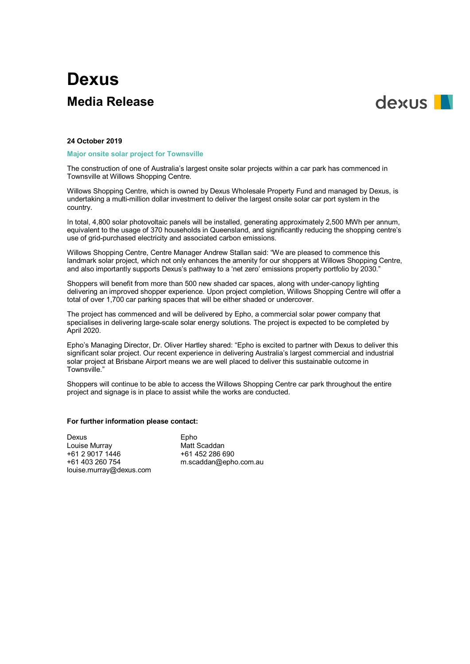# **Dexus Media Release**



## **24 October 2019**

## **Major onsite solar project for Townsville**

The construction of one of Australia's largest onsite solar projects within a car park has commenced in Townsville at Willows Shopping Centre.

Willows Shopping Centre, which is owned by Dexus Wholesale Property Fund and managed by Dexus, is undertaking a multi-million dollar investment to deliver the largest onsite solar car port system in the country.

In total, 4,800 solar photovoltaic panels will be installed, generating approximately 2,500 MWh per annum, equivalent to the usage of 370 households in Queensland, and significantly reducing the shopping centre's use of grid-purchased electricity and associated carbon emissions.

Willows Shopping Centre, Centre Manager Andrew Stallan said: "We are pleased to commence this landmark solar project, which not only enhances the amenity for our shoppers at Willows Shopping Centre, and also importantly supports Dexus's pathway to a 'net zero' emissions property portfolio by 2030."

Shoppers will benefit from more than 500 new shaded car spaces, along with under-canopy lighting delivering an improved shopper experience. Upon project completion, Willows Shopping Centre will offer a total of over 1,700 car parking spaces that will be either shaded or undercover.

The project has commenced and will be delivered by Epho, a commercial solar power company that specialises in delivering large-scale solar energy solutions. The project is expected to be completed by April 2020.

Epho's Managing Director, Dr. Oliver Hartley shared: "Epho is excited to partner with Dexus to deliver this significant solar project. Our recent experience in delivering Australia's largest commercial and industrial solar project at Brisbane Airport means we are well placed to deliver this sustainable outcome in Townsville."

Shoppers will continue to be able to access the Willows Shopping Centre car park throughout the entire project and signage is in place to assist while the works are conducted.

## **For further information please contact:**

Dexus<br>
Louise Murray<br>
Louise Murray Louise Murray **Matt Scaddan**<br>+61 2 9017 1446 **12 32 461 452 286 690** +61 2 9017 1446<br>+61 403 260 754 louise.murray@dexus.com

m.scaddan@epho.com.au